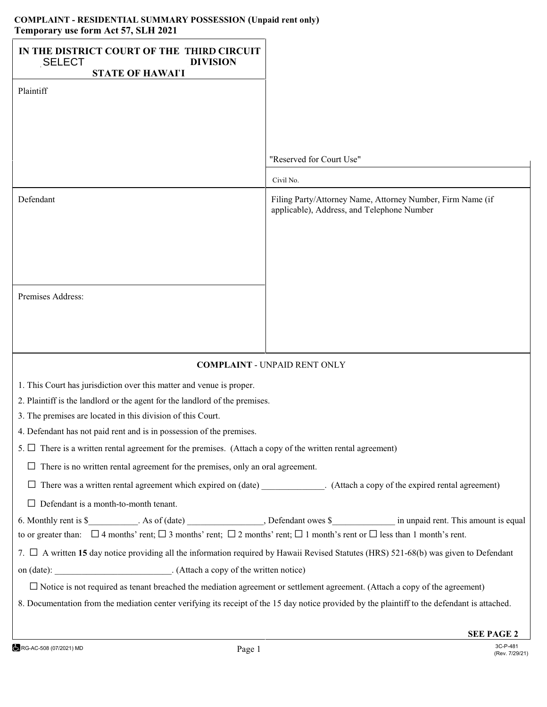## **COMPLAINT - RESIDENTIAL SUMMARY POSSESSION (Unpaid rent only) Temporary use form Act 57, SLH 2021**

| IN THE DISTRICT COURT OF THE THIRD CIRCUIT<br><b>DIVISION</b><br><b>SELECT</b>                                                                     |                                                                                                          |
|----------------------------------------------------------------------------------------------------------------------------------------------------|----------------------------------------------------------------------------------------------------------|
| <b>STATE OF HAWAI'I</b>                                                                                                                            |                                                                                                          |
| Plaintiff                                                                                                                                          |                                                                                                          |
|                                                                                                                                                    |                                                                                                          |
|                                                                                                                                                    |                                                                                                          |
|                                                                                                                                                    |                                                                                                          |
|                                                                                                                                                    | "Reserved for Court Use"                                                                                 |
|                                                                                                                                                    | Civil No.                                                                                                |
| Defendant                                                                                                                                          | Filing Party/Attorney Name, Attorney Number, Firm Name (if<br>applicable), Address, and Telephone Number |
|                                                                                                                                                    |                                                                                                          |
|                                                                                                                                                    |                                                                                                          |
|                                                                                                                                                    |                                                                                                          |
| Premises Address:                                                                                                                                  |                                                                                                          |
|                                                                                                                                                    |                                                                                                          |
|                                                                                                                                                    |                                                                                                          |
|                                                                                                                                                    |                                                                                                          |
| <b>COMPLAINT - UNPAID RENT ONLY</b>                                                                                                                |                                                                                                          |
| 1. This Court has jurisdiction over this matter and venue is proper.                                                                               |                                                                                                          |
| 2. Plaintiff is the landlord or the agent for the landlord of the premises.                                                                        |                                                                                                          |
| 3. The premises are located in this division of this Court.                                                                                        |                                                                                                          |
| 4. Defendant has not paid rent and is in possession of the premises.                                                                               |                                                                                                          |
| 5. $\Box$ There is a written rental agreement for the premises. (Attach a copy of the written rental agreement)                                    |                                                                                                          |
| There is no written rental agreement for the premises, only an oral agreement.                                                                     |                                                                                                          |
| □ There was a written rental agreement which expired on (date) ________________. (Attach a copy of the expired rental agreement)                   |                                                                                                          |
| $\Box$ Defendant is a month-to-month tenant.                                                                                                       |                                                                                                          |
|                                                                                                                                                    |                                                                                                          |
| to or greater than: $\Box$ 4 months' rent; $\Box$ 3 months' rent; $\Box$ 2 months' rent; $\Box$ 1 month's rent or $\Box$ less than 1 month's rent. |                                                                                                          |
| 7. $\Box$ A written 15 day notice providing all the information required by Hawaii Revised Statutes (HRS) 521-68(b) was given to Defendant         |                                                                                                          |
| on (date): _____________________________. (Attach a copy of the written notice)                                                                    |                                                                                                          |
| $\Box$ Notice is not required as tenant breached the mediation agreement or settlement agreement. (Attach a copy of the agreement)                 |                                                                                                          |
| 8. Documentation from the mediation center verifying its receipt of the 15 day notice provided by the plaintiff to the defendant is attached.      |                                                                                                          |
|                                                                                                                                                    |                                                                                                          |